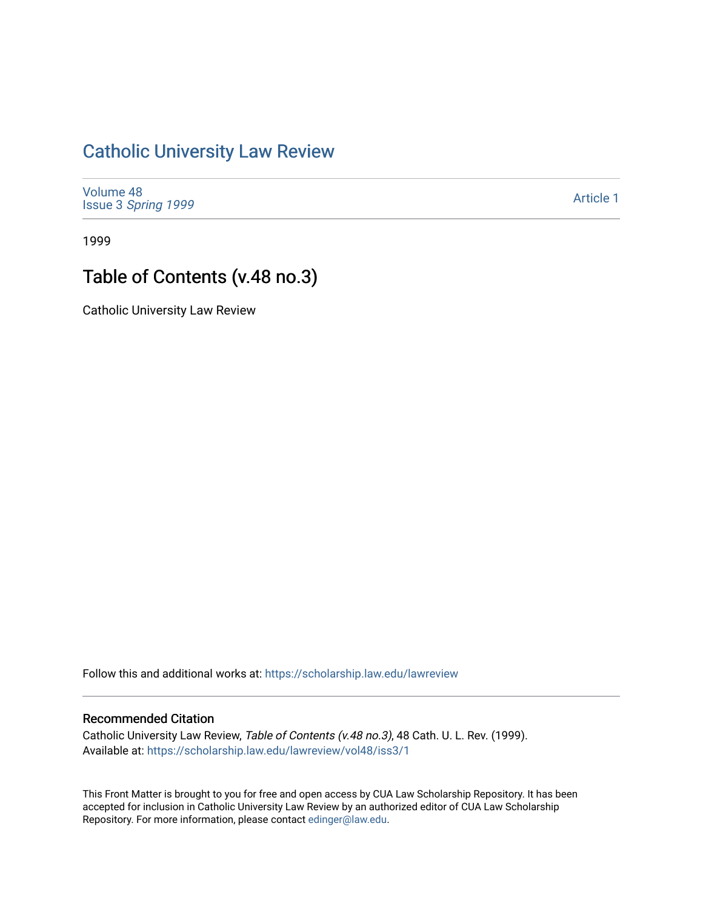## [Catholic University Law Review](https://scholarship.law.edu/lawreview)

[Volume 48](https://scholarship.law.edu/lawreview/vol48) Issue 3 [Spring 1999](https://scholarship.law.edu/lawreview/vol48/iss3) 

[Article 1](https://scholarship.law.edu/lawreview/vol48/iss3/1) 

1999

## Table of Contents (v.48 no.3)

Catholic University Law Review

Follow this and additional works at: [https://scholarship.law.edu/lawreview](https://scholarship.law.edu/lawreview?utm_source=scholarship.law.edu%2Flawreview%2Fvol48%2Fiss3%2F1&utm_medium=PDF&utm_campaign=PDFCoverPages)

## Recommended Citation

Catholic University Law Review, Table of Contents (v.48 no.3), 48 Cath. U. L. Rev. (1999). Available at: [https://scholarship.law.edu/lawreview/vol48/iss3/1](https://scholarship.law.edu/lawreview/vol48/iss3/1?utm_source=scholarship.law.edu%2Flawreview%2Fvol48%2Fiss3%2F1&utm_medium=PDF&utm_campaign=PDFCoverPages)

This Front Matter is brought to you for free and open access by CUA Law Scholarship Repository. It has been accepted for inclusion in Catholic University Law Review by an authorized editor of CUA Law Scholarship Repository. For more information, please contact [edinger@law.edu.](mailto:edinger@law.edu)